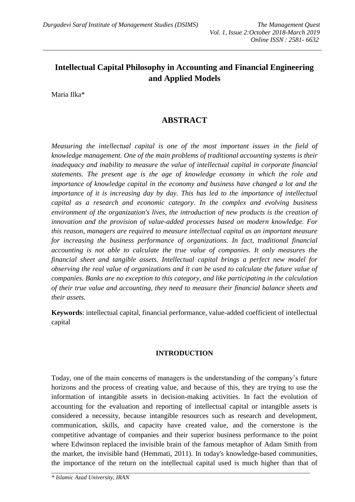# **Intellectual Capital Philosophy in Accounting and Financial Engineering and Applied Models**

*\_\_\_\_\_\_\_\_\_\_\_\_\_\_\_\_\_\_\_\_\_\_\_\_\_\_\_\_\_\_\_\_\_\_\_\_\_\_\_\_\_\_\_\_\_\_\_\_\_\_\_\_\_\_\_\_\_\_\_\_\_\_\_\_\_\_\_\_\_\_\_\_\_\_\_\_\_\_\_\_\_\_\_\_\_*

Maria Ilka\*

# **ABSTRACT**

*Measuring the intellectual capital is one of the most important issues in the field of knowledge management. One of the main problems of traditional accounting systems is their inadequacy and inability to measure the value of intellectual capital in corporate financial statements. The present age is the age of knowledge economy in which the role and importance of knowledge capital in the economy and business have changed a lot and the importance of it is increasing day by day. This has led to the importance of intellectual capital as a research and economic category. In the complex and evolving business environment of the organization's lives, the introduction of new products is the creation of innovation and the provision of value-added processes based on modern knowledge. For this reason, managers are required to measure intellectual capital as an important measure for increasing the business performance of organizations. In fact, traditional financial accounting is not able to calculate the true value of companies. It only measures the financial sheet and tangible assets. Intellectual capital brings a perfect new model for observing the real value of organizations and it can be used to calculate the future value of companies. Banks are no exception to this category, and like participating in the calculation of their true value and accounting, they need to measure their financial balance sheets and their assets.* 

**Keywords**: intellectual capital, financial performance, value-added coefficient of intellectual capital

### **INTRODUCTION**

Today, one of the main concerns of managers is the understanding of the company's future horizons and the process of creating value, and because of this, they are trying to use the information of intangible assets in decision-making activities. In fact the evolution of accounting for the evaluation and reporting of intellectual capital or intangible assets is considered a necessity, because intangible resources such as research and development, communication, skills, and capacity have created value, and the cornerstone is the competitive advantage of companies and their superior business performance to the point where Edwinson replaced the invisible brain of the famous metaphor of Adam Smith from the market, the invisible hand (Hemmati, 2011). In today's knowledge-based communities, the importance of the return on the intellectual capital used is much higher than that of

*\_\_\_\_\_\_\_\_\_\_\_\_\_\_\_\_\_\_\_\_\_\_\_\_\_\_\_\_\_\_\_\_\_\_\_\_\_\_\_\_\_\_\_\_\_\_\_\_\_\_\_\_\_\_\_\_\_\_\_\_\_\_\_\_\_\_\_\_\_\_\_\_\_\_\_\_\_\_\_\_\_\_\_\_\_\_\_*

*\* Islamic Azad University, IRAN*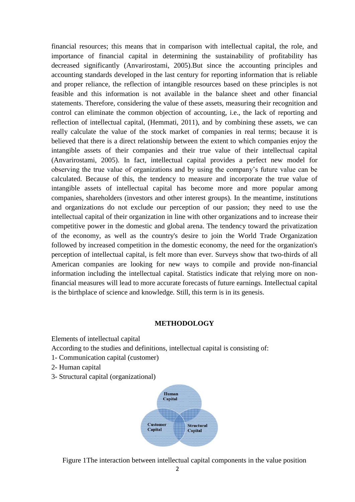financial resources; this means that in comparison with intellectual capital, the role, and importance of financial capital in determining the sustainability of profitability has decreased significantly (Anvarirostami, 2005).But since the accounting principles and accounting standards developed in the last century for reporting information that is reliable and proper reliance, the reflection of intangible resources based on these principles is not feasible and this information is not available in the balance sheet and other financial statements. Therefore, considering the value of these assets, measuring their recognition and control can eliminate the common objection of accounting, i.e., the lack of reporting and reflection of intellectual capital, (Hemmati, 2011), and by combining these assets, we can really calculate the value of the stock market of companies in real terms; because it is believed that there is a direct relationship between the extent to which companies enjoy the intangible assets of their companies and their true value of their intellectual capital (Anvarirostami, 2005). In fact, intellectual capital provides a perfect new model for observing the true value of organizations and by using the company's future value can be calculated. Because of this, the tendency to measure and incorporate the true value of intangible assets of intellectual capital has become more and more popular among companies, shareholders (investors and other interest groups). In the meantime, institutions and organizations do not exclude our perception of our passion; they need to use the intellectual capital of their organization in line with other organizations and to increase their competitive power in the domestic and global arena. The tendency toward the privatization of the economy, as well as the country's desire to join the World Trade Organization followed by increased competition in the domestic economy, the need for the organization's perception of intellectual capital, is felt more than ever. Surveys show that two-thirds of all American companies are looking for new ways to compile and provide non-financial information including the intellectual capital. Statistics indicate that relying more on nonfinancial measures will lead to more accurate forecasts of future earnings. Intellectual capital is the birthplace of science and knowledge. Still, this term is in its genesis.

# **METHODOLOGY**

Elements of intellectual capital

According to the studies and definitions, intellectual capital is consisting of:

- 1- Communication capital (customer)
- 2- Human capital
- 3- Structural capital (organizational)



Figure 1The interaction between intellectual capital components in the value position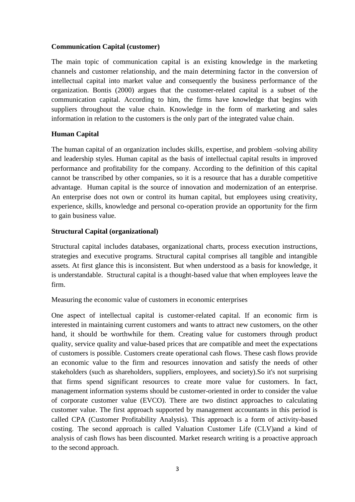# **Communication Capital (customer)**

The main topic of communication capital is an existing knowledge in the marketing channels and customer relationship, and the main determining factor in the conversion of intellectual capital into market value and consequently the business performance of the organization. Bontis (2000) argues that the customer-related capital is a subset of the communication capital. According to him, the firms have knowledge that begins with suppliers throughout the value chain. Knowledge in the form of marketing and sales information in relation to the customers is the only part of the integrated value chain.

# **Human Capital**

The human capital of an organization includes skills, expertise, and problem -solving ability and leadership styles. Human capital as the basis of intellectual capital results in improved performance and profitability for the company. According to the definition of this capital cannot be transcribed by other companies, so it is a resource that has a durable competitive advantage. Human capital is the source of innovation and modernization of an enterprise. An enterprise does not own or control its human capital, but employees using creativity, experience, skills, knowledge and personal co-operation provide an opportunity for the firm to gain business value.

# **Structural Capital (organizational)**

Structural capital includes databases, organizational charts, process execution instructions, strategies and executive programs. Structural capital comprises all tangible and intangible assets. At first glance this is inconsistent. But when understood as a basis for knowledge, it is understandable. Structural capital is a thought-based value that when employees leave the firm.

Measuring the economic value of customers in economic enterprises

One aspect of intellectual capital is customer-related capital. If an economic firm is interested in maintaining current customers and wants to attract new customers, on the other hand, it should be worthwhile for them. Creating value for customers through product quality, service quality and value-based prices that are compatible and meet the expectations of customers is possible. Customers create operational cash flows. These cash flows provide an economic value to the firm and resources innovation and satisfy the needs of other stakeholders (such as shareholders, suppliers, employees, and society).So it's not surprising that firms spend significant resources to create more value for customers. In fact, management information systems should be customer-oriented in order to consider the value of corporate customer value (EVCO). There are two distinct approaches to calculating customer value. The first approach supported by management accountants in this period is called CPA (Customer Profitability Analysis). This approach is a form of activity-based costing. The second approach is called Valuation Customer Life (CLV)and a kind of analysis of cash flows has been discounted. Market research writing is a proactive approach to the second approach.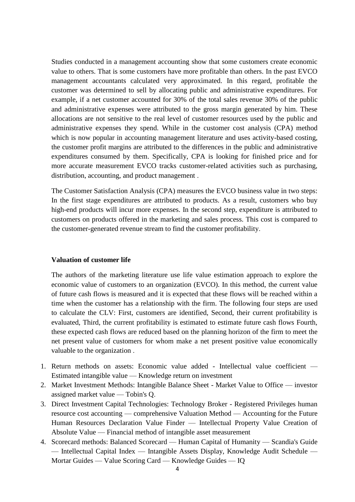Studies conducted in a management accounting show that some customers create economic value to others. That is some customers have more profitable than others. In the past EVCO management accountants calculated very approximated. In this regard, profitable the customer was determined to sell by allocating public and administrative expenditures. For example, if a net customer accounted for 30% of the total sales revenue 30% of the public and administrative expenses were attributed to the gross margin generated by him. These allocations are not sensitive to the real level of customer resources used by the public and administrative expenses they spend. While in the customer cost analysis (CPA) method which is now popular in accounting management literature and uses activity-based costing, the customer profit margins are attributed to the differences in the public and administrative expenditures consumed by them. Specifically, CPA is looking for finished price and for more accurate measurement EVCO tracks customer-related activities such as purchasing, distribution, accounting, and product management .

The Customer Satisfaction Analysis (CPA) measures the EVCO business value in two steps: In the first stage expenditures are attributed to products. As a result, customers who buy high-end products will incur more expenses. In the second step, expenditure is attributed to customers on products offered in the marketing and sales process. This cost is compared to the customer-generated revenue stream to find the customer profitability.

### **Valuation of customer life**

The authors of the marketing literature use life value estimation approach to explore the economic value of customers to an organization (EVCO). In this method, the current value of future cash flows is measured and it is expected that these flows will be reached within a time when the customer has a relationship with the firm. The following four steps are used to calculate the CLV: First, customers are identified, Second, their current profitability is evaluated, Third, the current profitability is estimated to estimate future cash flows Fourth, these expected cash flows are reduced based on the planning horizon of the firm to meet the net present value of customers for whom make a net present positive value economically valuable to the organization .

- 1. Return methods on assets: Economic value added Intellectual value coefficient Estimated intangible value — Knowledge return on investment
- 2. Market Investment Methods: Intangible Balance Sheet Market Value to Office investor assigned market value — Tobin's Q.
- 3. Direct Investment Capital Technologies: Technology Broker Registered Privileges human resource cost accounting — comprehensive Valuation Method — Accounting for the Future Human Resources Declaration Value Finder — Intellectual Property Value Creation of Absolute Value — Financial method of intangible asset measurement
- 4. Scorecard methods: Balanced Scorecard Human Capital of Humanity Scandia's Guide — Intellectual Capital Index — Intangible Assets Display, Knowledge Audit Schedule — Mortar Guides — Value Scoring Card — Knowledge Guides — IQ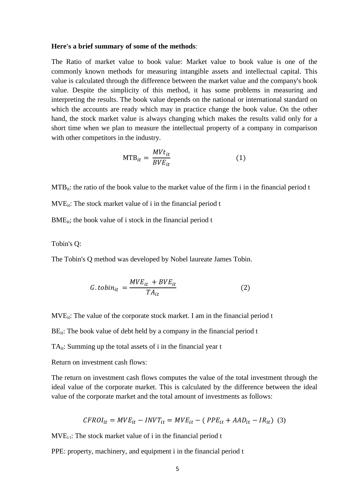#### **Here's a brief summary of some of the methods**:

The Ratio of market value to book value: Market value to book value is one of the commonly known methods for measuring intangible assets and intellectual capital. This value is calculated through the difference between the market value and the company's book value. Despite the simplicity of this method, it has some problems in measuring and interpreting the results. The book value depends on the national or international standard on which the accounts are ready which may in practice change the book value. On the other hand, the stock market value is always changing which makes the results valid only for a short time when we plan to measure the intellectual property of a company in comparison with other competitors in the industry.

$$
MTB_{it} = \frac{M V t_{it}}{B V E_{it}} \tag{1}
$$

 $MTB_{it}$ : the ratio of the book value to the market value of the firm i in the financial period t

 $MVE_{it}$ : The stock market value of i in the financial period t

BME<sub>it</sub>; the book value of i stock in the financial period t

Tobin's Q:

The Tobin's Q method was developed by Nobel laureate James Tobin.

$$
G.tobin_{it} = \frac{MVE_{it} + BVE_{it}}{TA_{it}} \tag{2}
$$

 $MVE_{it}$ : The value of the corporate stock market. I am in the financial period t

 $BE_{it}$ : The book value of debt held by a company in the financial period t

 $TA_{it}$ : Summing up the total assets of i in the financial year t

Return on investment cash flows:

The return on investment cash flows computes the value of the total investment through the ideal value of the corporate market. This is calculated by the difference between the ideal value of the corporate market and the total amount of investments as follows:

$$
CFROI_{it} = MVE_{it} - INVT_{it} = MVE_{it} - (PPE_{it} + AAD_{it} - IR_{it})
$$
 (3)

 $MVE<sub>i</sub>$ : The stock market value of i in the financial period t

PPE: property, machinery, and equipment i in the financial period t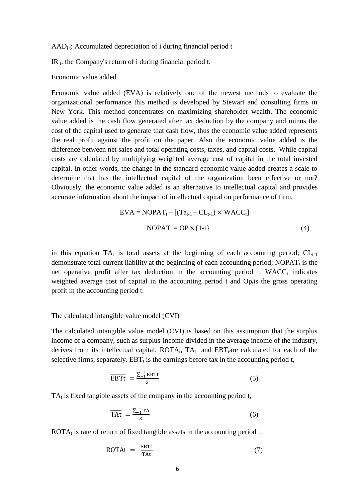$AAD_{i}$ : Accumulated depreciation of i during financial period t

 $IR_{it}:$  the Company's return of i during financial period t.

Economic value added

Economic value added (EVA) is relatively one of the newest methods to evaluate the organizational performance this method is developed by Stewart and consulting firms in New York. This method concentrates on maximizing shareholder wealth. The economic value added is the cash flow generated after tax deduction by the company and minus the cost of the capital used to generate that cash flow, thus the economic value added represents the real profit against the profit on the paper. Also the economic value added is the difference between net sales and total operating costs, taxes, and capital costs. While capital costs are calculated by multiplying weighted average cost of capital in the total invested capital. In other words, the change in the standard economic value added creates a scale to determine that has the intellectual capital of the organization been effective or not? Obviously, the economic value added is an alternative to intellectual capital and provides accurate information about the impact of intellectual capital on performance of firm.

$$
EVA = NOPAT_{t} - [(Ta_{t-1} - CL_{t-1}) \times WACC_{t}]
$$
  
 
$$
NOPAT_{t} = OP_{t} \times \{1-t\}
$$
 (4)

in this equation  $TA_{t-1}$  is total assets at the beginning of each accounting period;  $CL_{t-1}$ demonstrate total current liability at the beginning of each accounting period;  $NOPAT<sub>t</sub>$  is the net operative profit after tax deduction in the accounting period t.  $WACC<sub>t</sub>$  indicates weighted average cost of capital in the accounting period  $t$  and Op $_{t}$  is the gross operating profit in the accounting period t.

The calculated intangible value model (CVI)

The calculated intangible value model (CVI) is based on this assumption that the surplus income of a company, such as surplus-income divided in the average income of the industry, derives from its intellectual capital.  $ROTA_t$ ,  $TA_t$  and  $EBT_t$  are calculated for each of the selective firms, separately.  $EBT_t$  is the earnings before tax in the accounting period t,

$$
\overline{\text{EBTt}} = \frac{\sum_{-1}^{-3} \text{EBTt}}{3} \tag{5}
$$

 $TA_t$  is fixed tangible assets of the company in the accounting period t,

$$
\overline{\text{TAt}} = \frac{\sum_{-1}^{-3} \text{TA}}{3} \tag{6}
$$

ROTA $<sub>t</sub>$  is rate of return of fixed tangible assets in the accounting period t,</sub>

$$
ROTAt = \frac{\overline{EBTt}}{\overline{TAt}} \tag{7}
$$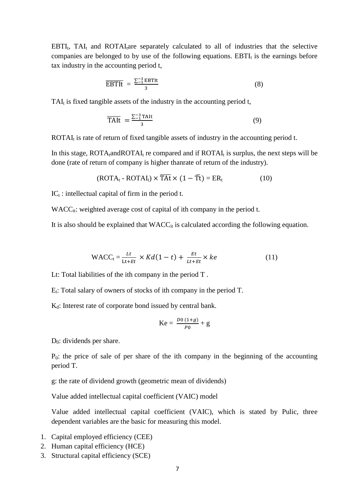$EBTI_t$ ,  $TAI_t$  and  $ROTAI_t$ are separately calculated to all of industries that the selective companies are belonged to by use of the following equations.  $EBTI<sub>t</sub>$  is the earnings before tax industry in the accounting period t,

$$
\overline{\text{EBTIt}} = \frac{\sum_{1}^{3} \text{EBTIt}}{3} \tag{8}
$$

TAI<sub>t</sub> is fixed tangible assets of the industry in the accounting period t,

$$
\overline{\text{TAlt}} = \frac{\sum_{1}^{3} \text{TAlt}}{3} \tag{9}
$$

ROTAI $<sub>t</sub>$  is rate of return of fixed tangible assets of industry in the accounting period t.</sub>

In this stage,  $ROTA<sub>t</sub>$  and ROTAI<sub>t</sub> re compared and if  $ROTA<sub>t</sub>$  is surplus, the next steps will be done (rate of return of company is higher thanrate of return of the industry).

$$
(ROTA_t - ROTAI_t) \times \overline{TAt} \times (1 - \overline{T}t) = ER_t
$$
 (10)

 $IC_t$ : intellectual capital of firm in the period t.

 $WACC_{it}: weighted average cost of capital of ith company in the period t.$ 

It is also should be explained that  $WACC_{it}$  is calculated according the following equation.

$$
\text{WACC}_{t} = \frac{Lt}{Lt + Et} \times K d(1 - t) + \frac{Et}{Lt + Et} \times ke \tag{11}
$$

Lt: Total liabilities of the ith company in the period T .

 $E_t$ : Total salary of owners of stocks of ith company in the period T.

K<sub>d</sub>: Interest rate of corporate bond issued by central bank.

$$
Ke = \frac{D0 (1 + g)}{P0} + g
$$

 $D_0$ : dividends per share.

 $P_0$ : the price of sale of per share of the ith company in the beginning of the accounting period T.

g: the rate of dividend growth (geometric mean of dividends)

Value added intellectual capital coefficient (VAIC) model

Value added intellectual capital coefficient (VAIC), which is stated by Pulic, three dependent variables are the basic for measuring this model.

- 1. Capital employed efficiency (CEE)
- 2. Human capital efficiency (HCE)
- 3. Structural capital efficiency (SCE)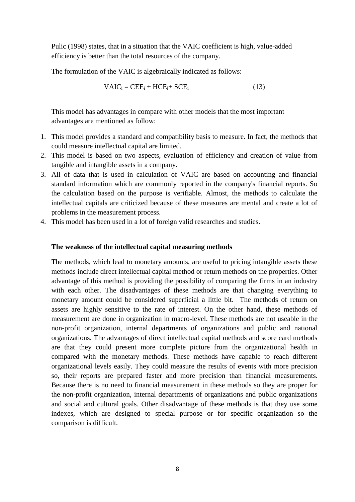Pulic (1998) states, that in a situation that the VAIC coefficient is high, value-added efficiency is better than the total resources of the company.

The formulation of the VAIC is algebraically indicated as follows:

$$
VALC_i = CEE_i + HCE_i + SCE_i \tag{13}
$$

This model has advantages in compare with other models that the most important advantages are mentioned as follow:

- 1. This model provides a standard and compatibility basis to measure. In fact, the methods that could measure intellectual capital are limited.
- 2. This model is based on two aspects, evaluation of efficiency and creation of value from tangible and intangible assets in a company.
- 3. All of data that is used in calculation of VAIC are based on accounting and financial standard information which are commonly reported in the company's financial reports. So the calculation based on the purpose is verifiable. Almost, the methods to calculate the intellectual capitals are criticized because of these measures are mental and create a lot of problems in the measurement process.
- 4. This model has been used in a lot of foreign valid researches and studies.

#### **The weakness of the intellectual capital measuring methods**

The methods, which lead to monetary amounts, are useful to pricing intangible assets these methods include direct intellectual capital method or return methods on the properties. Other advantage of this method is providing the possibility of comparing the firms in an industry with each other. The disadvantages of these methods are that changing everything to monetary amount could be considered superficial a little bit. The methods of return on assets are highly sensitive to the rate of interest. On the other hand, these methods of measurement are done in organization in macro-level. These methods are not useable in the non-profit organization, internal departments of organizations and public and national organizations. The advantages of direct intellectual capital methods and score card methods are that they could present more complete picture from the organizational health in compared with the monetary methods. These methods have capable to reach different organizational levels easily. They could measure the results of events with more precision so, their reports are prepared faster and more precision than financial measurements. Because there is no need to financial measurement in these methods so they are proper for the non-profit organization, internal departments of organizations and public organizations and social and cultural goals. Other disadvantage of these methods is that they use some indexes, which are designed to special purpose or for specific organization so the comparison is difficult.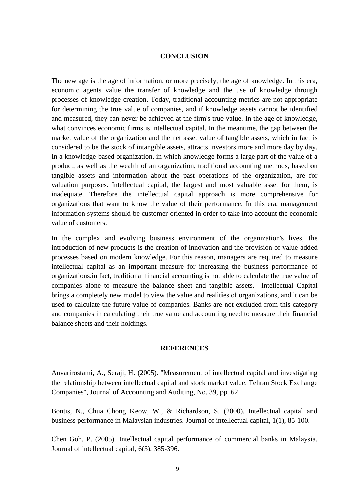### **CONCLUSION**

The new age is the age of information, or more precisely, the age of knowledge. In this era, economic agents value the transfer of knowledge and the use of knowledge through processes of knowledge creation. Today, traditional accounting metrics are not appropriate for determining the true value of companies, and if knowledge assets cannot be identified and measured, they can never be achieved at the firm's true value. In the age of knowledge, what convinces economic firms is intellectual capital. In the meantime, the gap between the market value of the organization and the net asset value of tangible assets, which in fact is considered to be the stock of intangible assets, attracts investors more and more day by day. In a knowledge-based organization, in which knowledge forms a large part of the value of a product, as well as the wealth of an organization, traditional accounting methods, based on tangible assets and information about the past operations of the organization, are for valuation purposes. Intellectual capital, the largest and most valuable asset for them, is inadequate. Therefore the intellectual capital approach is more comprehensive for organizations that want to know the value of their performance. In this era, management information systems should be customer-oriented in order to take into account the economic value of customers.

In the complex and evolving business environment of the organization's lives, the introduction of new products is the creation of innovation and the provision of value-added processes based on modern knowledge. For this reason, managers are required to measure intellectual capital as an important measure for increasing the business performance of organizations.in fact, traditional financial accounting is not able to calculate the true value of companies alone to measure the balance sheet and tangible assets. Intellectual Capital brings a completely new model to view the value and realities of organizations, and it can be used to calculate the future value of companies. Banks are not excluded from this category and companies in calculating their true value and accounting need to measure their financial balance sheets and their holdings.

#### **REFERENCES**

Anvarirostami, A., Seraji, H. (2005). "Measurement of intellectual capital and investigating the relationship between intellectual capital and stock market value. Tehran Stock Exchange Companies", Journal of Accounting and Auditing, No. 39, pp. 62.

Bontis, N., Chua Chong Keow, W., & Richardson, S. (2000). Intellectual capital and business performance in Malaysian industries. Journal of intellectual capital, 1(1), 85-100.

Chen Goh, P. (2005). Intellectual capital performance of commercial banks in Malaysia. Journal of intellectual capital, 6(3), 385-396.